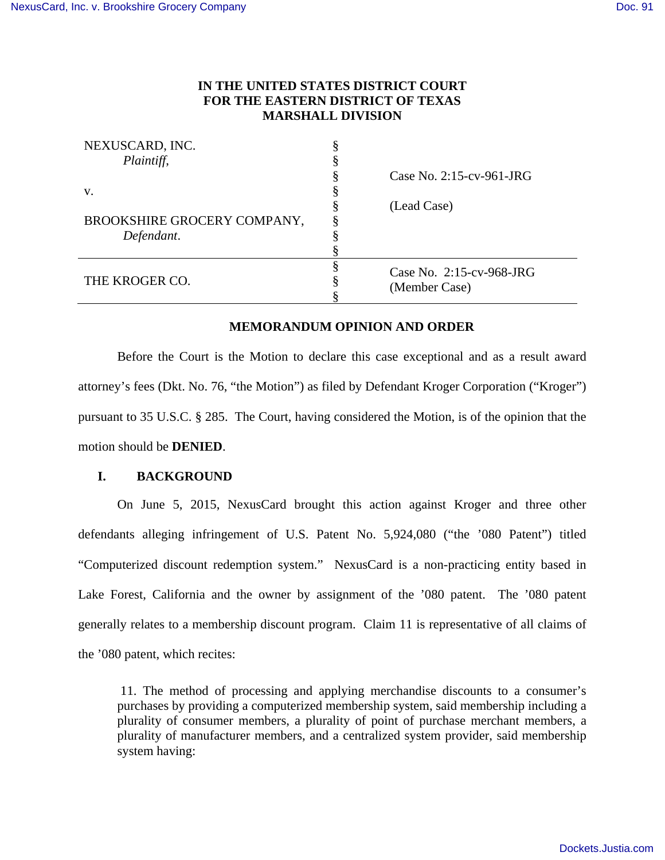# **IN THE UNITED STATES DISTRICT COURT FOR THE EASTERN DISTRICT OF TEXAS MARSHALL DIVISION**

| NEXUSCARD, INC.             |                             |
|-----------------------------|-----------------------------|
| Plaintiff,                  |                             |
|                             | Case No. $2:15$ -cv-961-JRG |
| V.                          |                             |
|                             | (Lead Case)                 |
| BROOKSHIRE GROCERY COMPANY, |                             |
| Defendant.                  |                             |
|                             |                             |
|                             | Case No. 2:15-cv-968-JRG    |
| THE KROGER CO.              | (Member Case)               |
|                             |                             |

## **MEMORANDUM OPINION AND ORDER**

Before the Court is the Motion to declare this case exceptional and as a result award attorney's fees (Dkt. No. 76, "the Motion") as filed by Defendant Kroger Corporation ("Kroger") pursuant to 35 U.S.C. § 285. The Court, having considered the Motion, is of the opinion that the motion should be **DENIED**.

## **I. BACKGROUND**

On June 5, 2015, NexusCard brought this action against Kroger and three other defendants alleging infringement of U.S. Patent No. 5,924,080 ("the '080 Patent") titled "Computerized discount redemption system." NexusCard is a non-practicing entity based in Lake Forest, California and the owner by assignment of the '080 patent. The '080 patent generally relates to a membership discount program. Claim 11 is representative of all claims of the '080 patent, which recites:

 11. The method of processing and applying merchandise discounts to a consumer's purchases by providing a computerized membership system, said membership including a plurality of consumer members, a plurality of point of purchase merchant members, a plurality of manufacturer members, and a centralized system provider, said membership system having: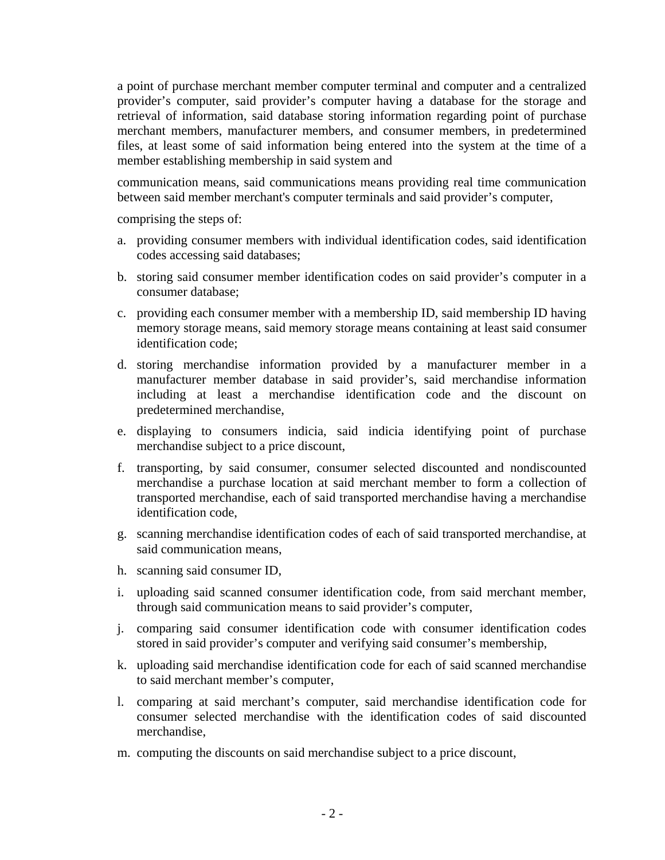a point of purchase merchant member computer terminal and computer and a centralized provider's computer, said provider's computer having a database for the storage and retrieval of information, said database storing information regarding point of purchase merchant members, manufacturer members, and consumer members, in predetermined files, at least some of said information being entered into the system at the time of a member establishing membership in said system and

communication means, said communications means providing real time communication between said member merchant's computer terminals and said provider's computer,

comprising the steps of:

- a. providing consumer members with individual identification codes, said identification codes accessing said databases;
- b. storing said consumer member identification codes on said provider's computer in a consumer database;
- c. providing each consumer member with a membership ID, said membership ID having memory storage means, said memory storage means containing at least said consumer identification code;
- d. storing merchandise information provided by a manufacturer member in a manufacturer member database in said provider's, said merchandise information including at least a merchandise identification code and the discount on predetermined merchandise,
- e. displaying to consumers indicia, said indicia identifying point of purchase merchandise subject to a price discount,
- f. transporting, by said consumer, consumer selected discounted and nondiscounted merchandise a purchase location at said merchant member to form a collection of transported merchandise, each of said transported merchandise having a merchandise identification code,
- g. scanning merchandise identification codes of each of said transported merchandise, at said communication means,
- h. scanning said consumer ID,
- i. uploading said scanned consumer identification code, from said merchant member, through said communication means to said provider's computer,
- j. comparing said consumer identification code with consumer identification codes stored in said provider's computer and verifying said consumer's membership,
- k. uploading said merchandise identification code for each of said scanned merchandise to said merchant member's computer,
- l. comparing at said merchant's computer, said merchandise identification code for consumer selected merchandise with the identification codes of said discounted merchandise,
- m. computing the discounts on said merchandise subject to a price discount,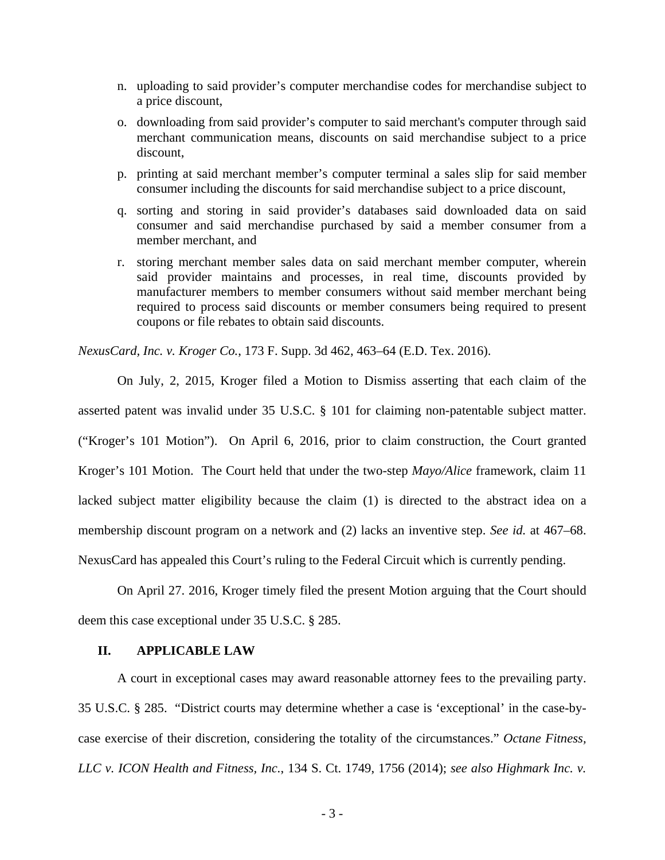- n. uploading to said provider's computer merchandise codes for merchandise subject to a price discount,
- o. downloading from said provider's computer to said merchant's computer through said merchant communication means, discounts on said merchandise subject to a price discount,
- p. printing at said merchant member's computer terminal a sales slip for said member consumer including the discounts for said merchandise subject to a price discount,
- q. sorting and storing in said provider's databases said downloaded data on said consumer and said merchandise purchased by said a member consumer from a member merchant, and
- r. storing merchant member sales data on said merchant member computer, wherein said provider maintains and processes, in real time, discounts provided by manufacturer members to member consumers without said member merchant being required to process said discounts or member consumers being required to present coupons or file rebates to obtain said discounts.

*NexusCard, Inc. v. Kroger Co.*, 173 F. Supp. 3d 462, 463–64 (E.D. Tex. 2016).

On July, 2, 2015, Kroger filed a Motion to Dismiss asserting that each claim of the asserted patent was invalid under 35 U.S.C. § 101 for claiming non-patentable subject matter. ("Kroger's 101 Motion"). On April 6, 2016, prior to claim construction, the Court granted Kroger's 101 Motion. The Court held that under the two-step *Mayo/Alice* framework, claim 11 lacked subject matter eligibility because the claim (1) is directed to the abstract idea on a membership discount program on a network and (2) lacks an inventive step. *See id.* at 467–68. NexusCard has appealed this Court's ruling to the Federal Circuit which is currently pending.

On April 27. 2016, Kroger timely filed the present Motion arguing that the Court should deem this case exceptional under 35 U.S.C. § 285.

### **II. APPLICABLE LAW**

A court in exceptional cases may award reasonable attorney fees to the prevailing party. 35 U.S.C. § 285. "District courts may determine whether a case is 'exceptional' in the case-bycase exercise of their discretion, considering the totality of the circumstances." *Octane Fitness, LLC v. ICON Health and Fitness, Inc.*, 134 S. Ct. 1749, 1756 (2014); *see also Highmark Inc. v.*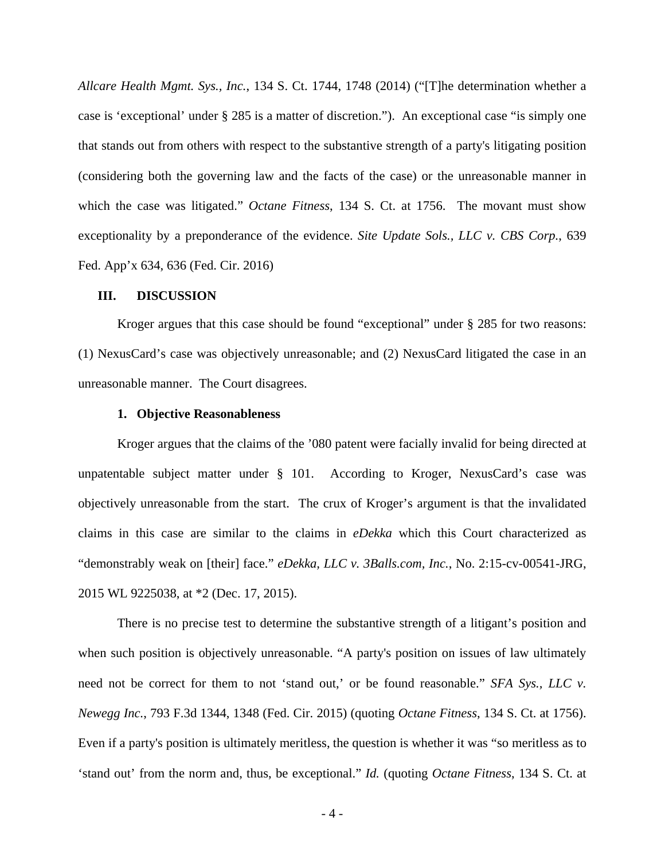*Allcare Health Mgmt. Sys., Inc.*, 134 S. Ct. 1744, 1748 (2014) ("[T]he determination whether a case is 'exceptional' under § 285 is a matter of discretion."). An exceptional case "is simply one that stands out from others with respect to the substantive strength of a party's litigating position (considering both the governing law and the facts of the case) or the unreasonable manner in which the case was litigated." *Octane Fitness*, 134 S. Ct. at 1756. The movant must show exceptionality by a preponderance of the evidence. *Site Update Sols., LLC v. CBS Corp.*, 639 Fed. App'x 634, 636 (Fed. Cir. 2016)

#### **III. DISCUSSION**

Kroger argues that this case should be found "exceptional" under § 285 for two reasons: (1) NexusCard's case was objectively unreasonable; and (2) NexusCard litigated the case in an unreasonable manner. The Court disagrees.

#### **1. Objective Reasonableness**

Kroger argues that the claims of the '080 patent were facially invalid for being directed at unpatentable subject matter under  $\S$  101. According to Kroger, NexusCard's case was objectively unreasonable from the start. The crux of Kroger's argument is that the invalidated claims in this case are similar to the claims in *eDekka* which this Court characterized as "demonstrably weak on [their] face." *eDekka, LLC v. 3Balls.com, Inc.*, No. 2:15-cv-00541-JRG, 2015 WL 9225038, at \*2 (Dec. 17, 2015).

There is no precise test to determine the substantive strength of a litigant's position and when such position is objectively unreasonable. "A party's position on issues of law ultimately need not be correct for them to not 'stand out,' or be found reasonable." *SFA Sys., LLC v. Newegg Inc.*, 793 F.3d 1344, 1348 (Fed. Cir. 2015) (quoting *Octane Fitness*, 134 S. Ct. at 1756). Even if a party's position is ultimately meritless, the question is whether it was "so meritless as to 'stand out' from the norm and, thus, be exceptional." *Id.* (quoting *Octane Fitness*, 134 S. Ct. at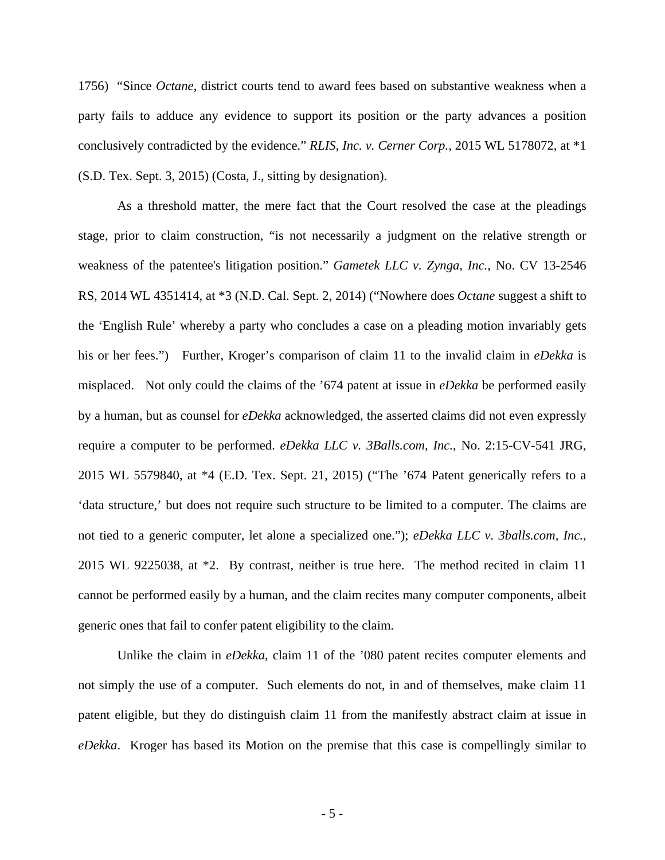1756) "Since *Octane*, district courts tend to award fees based on substantive weakness when a party fails to adduce any evidence to support its position or the party advances a position conclusively contradicted by the evidence." *RLIS, Inc. v. Cerner Corp.*, 2015 WL 5178072, at \*1 (S.D. Tex. Sept. 3, 2015) (Costa, J., sitting by designation).

As a threshold matter, the mere fact that the Court resolved the case at the pleadings stage, prior to claim construction, "is not necessarily a judgment on the relative strength or weakness of the patentee's litigation position." *Gametek LLC v. Zynga, Inc.*, No. CV 13-2546 RS, 2014 WL 4351414, at \*3 (N.D. Cal. Sept. 2, 2014) ("Nowhere does *Octane* suggest a shift to the 'English Rule' whereby a party who concludes a case on a pleading motion invariably gets his or her fees.") Further, Kroger's comparison of claim 11 to the invalid claim in *eDekka* is misplaced. Not only could the claims of the '674 patent at issue in *eDekka* be performed easily by a human, but as counsel for *eDekka* acknowledged, the asserted claims did not even expressly require a computer to be performed. *eDekka LLC v. 3Balls.com, Inc.*, No. 2:15-CV-541 JRG, 2015 WL 5579840, at \*4 (E.D. Tex. Sept. 21, 2015) ("The '674 Patent generically refers to a 'data structure,' but does not require such structure to be limited to a computer. The claims are not tied to a generic computer, let alone a specialized one."); *eDekka LLC v. 3balls.com, Inc.*, 2015 WL 9225038, at \*2. By contrast, neither is true here. The method recited in claim 11 cannot be performed easily by a human, and the claim recites many computer components, albeit generic ones that fail to confer patent eligibility to the claim.

Unlike the claim in *eDekka*, claim 11 of the '080 patent recites computer elements and not simply the use of a computer. Such elements do not, in and of themselves, make claim 11 patent eligible, but they do distinguish claim 11 from the manifestly abstract claim at issue in *eDekka*. Kroger has based its Motion on the premise that this case is compellingly similar to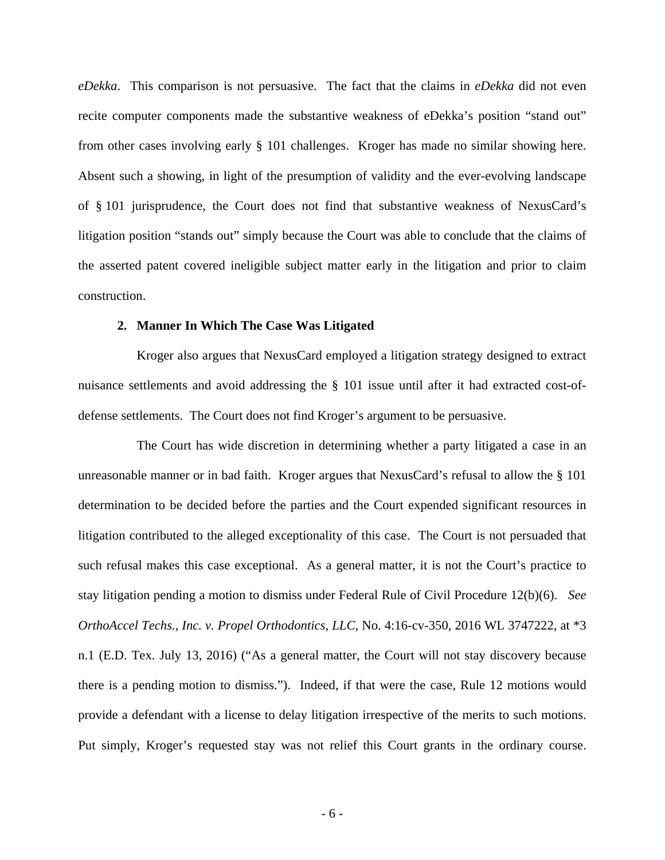*eDekka*. This comparison is not persuasive. The fact that the claims in *eDekka* did not even recite computer components made the substantive weakness of eDekka's position "stand out" from other cases involving early § 101 challenges. Kroger has made no similar showing here. Absent such a showing, in light of the presumption of validity and the ever-evolving landscape of § 101 jurisprudence, the Court does not find that substantive weakness of NexusCard's litigation position "stands out" simply because the Court was able to conclude that the claims of the asserted patent covered ineligible subject matter early in the litigation and prior to claim construction.

### **2. Manner In Which The Case Was Litigated**

Kroger also argues that NexusCard employed a litigation strategy designed to extract nuisance settlements and avoid addressing the § 101 issue until after it had extracted cost-ofdefense settlements. The Court does not find Kroger's argument to be persuasive.

The Court has wide discretion in determining whether a party litigated a case in an unreasonable manner or in bad faith. Kroger argues that NexusCard's refusal to allow the § 101 determination to be decided before the parties and the Court expended significant resources in litigation contributed to the alleged exceptionality of this case. The Court is not persuaded that such refusal makes this case exceptional. As a general matter, it is not the Court's practice to stay litigation pending a motion to dismiss under Federal Rule of Civil Procedure 12(b)(6). *See OrthoAccel Techs., Inc. v. Propel Orthodontics, LLC*, No. 4:16-cv-350, 2016 WL 3747222, at \*3 n.1 (E.D. Tex. July 13, 2016) ("As a general matter, the Court will not stay discovery because there is a pending motion to dismiss."). Indeed, if that were the case, Rule 12 motions would provide a defendant with a license to delay litigation irrespective of the merits to such motions. Put simply, Kroger's requested stay was not relief this Court grants in the ordinary course.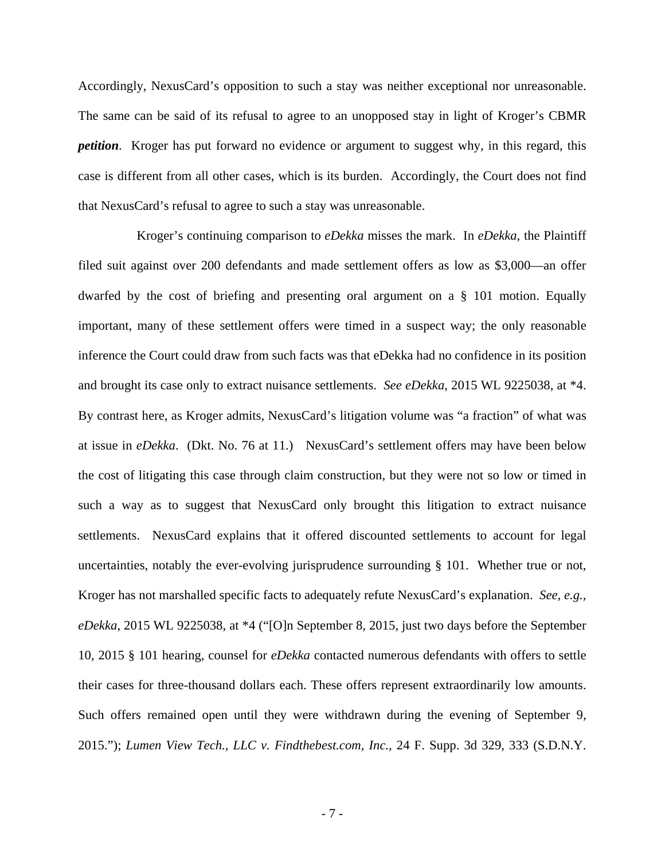Accordingly, NexusCard's opposition to such a stay was neither exceptional nor unreasonable. The same can be said of its refusal to agree to an unopposed stay in light of Kroger's CBMR *petition*. Kroger has put forward no evidence or argument to suggest why, in this regard, this case is different from all other cases, which is its burden. Accordingly, the Court does not find that NexusCard's refusal to agree to such a stay was unreasonable.

Kroger's continuing comparison to *eDekka* misses the mark. In *eDekka*, the Plaintiff filed suit against over 200 defendants and made settlement offers as low as \$3,000—an offer dwarfed by the cost of briefing and presenting oral argument on a § 101 motion. Equally important, many of these settlement offers were timed in a suspect way; the only reasonable inference the Court could draw from such facts was that eDekka had no confidence in its position and brought its case only to extract nuisance settlements. *See eDekka*, 2015 WL 9225038, at \*4. By contrast here, as Kroger admits, NexusCard's litigation volume was "a fraction" of what was at issue in *eDekka*. (Dkt. No. 76 at 11.) NexusCard's settlement offers may have been below the cost of litigating this case through claim construction, but they were not so low or timed in such a way as to suggest that NexusCard only brought this litigation to extract nuisance settlements. NexusCard explains that it offered discounted settlements to account for legal uncertainties, notably the ever-evolving jurisprudence surrounding § 101. Whether true or not, Kroger has not marshalled specific facts to adequately refute NexusCard's explanation. *See, e.g.*, *eDekka*, 2015 WL 9225038, at \*4 ("[O]n September 8, 2015, just two days before the September 10, 2015 § 101 hearing, counsel for *eDekka* contacted numerous defendants with offers to settle their cases for three-thousand dollars each. These offers represent extraordinarily low amounts. Such offers remained open until they were withdrawn during the evening of September 9, 2015."); *Lumen View Tech., LLC v. Findthebest.com, Inc.*, 24 F. Supp. 3d 329, 333 (S.D.N.Y.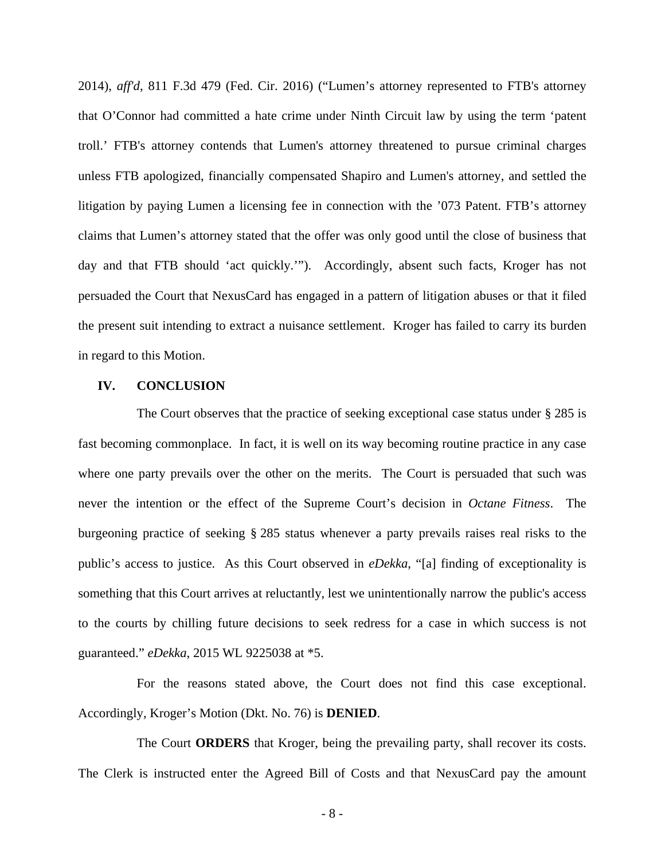2014), *aff'd*, 811 F.3d 479 (Fed. Cir. 2016) ("Lumen's attorney represented to FTB's attorney that O'Connor had committed a hate crime under Ninth Circuit law by using the term 'patent troll.' FTB's attorney contends that Lumen's attorney threatened to pursue criminal charges unless FTB apologized, financially compensated Shapiro and Lumen's attorney, and settled the litigation by paying Lumen a licensing fee in connection with the '073 Patent. FTB's attorney claims that Lumen's attorney stated that the offer was only good until the close of business that day and that FTB should 'act quickly.'"). Accordingly, absent such facts, Kroger has not persuaded the Court that NexusCard has engaged in a pattern of litigation abuses or that it filed the present suit intending to extract a nuisance settlement. Kroger has failed to carry its burden in regard to this Motion.

#### **IV. CONCLUSION**

The Court observes that the practice of seeking exceptional case status under § 285 is fast becoming commonplace. In fact, it is well on its way becoming routine practice in any case where one party prevails over the other on the merits. The Court is persuaded that such was never the intention or the effect of the Supreme Court's decision in *Octane Fitness*. The burgeoning practice of seeking § 285 status whenever a party prevails raises real risks to the public's access to justice. As this Court observed in *eDekka*, "[a] finding of exceptionality is something that this Court arrives at reluctantly, lest we unintentionally narrow the public's access to the courts by chilling future decisions to seek redress for a case in which success is not guaranteed." *eDekka*, 2015 WL 9225038 at \*5.

For the reasons stated above, the Court does not find this case exceptional. Accordingly, Kroger's Motion (Dkt. No. 76) is **DENIED**.

The Court **ORDERS** that Kroger, being the prevailing party, shall recover its costs. The Clerk is instructed enter the Agreed Bill of Costs and that NexusCard pay the amount